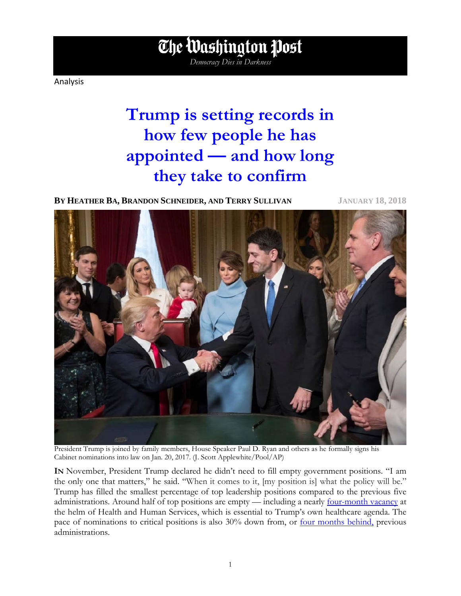Analysis

# **Trump is setting records in how few people he has appointed — and how long they take to confirm**

*Democracy Dies in Darkness*

The Washington Post

**BY HEATHER BA, BRANDON SCHNEIDER, AND TERRY SULLIVAN JANUARY 18, 2018**



President Trump is joined by family members, House Speaker Paul D. Ryan and others as he formally signs his Cabinet nominations into law on Jan. 20, 2017. (J. Scott Applewhite/Pool/AP)

**IN** November, President Trump declared he didn't need to fill empty government positions. "I am the only one that matters," he said. "When it comes to it, [my position is] what the policy will be." Trump has filled the smallest percentage of top leadership positions compared to the previous five administrations. Around half of top positions are empty — including a nearly <u>four-month vacancy</u> at the helm of Health and Human Services, which is essential to Trump's own healthcare agenda. The pace of nominations to critical positions is also 30% down from, or <u>four months behind</u>, previous administrations.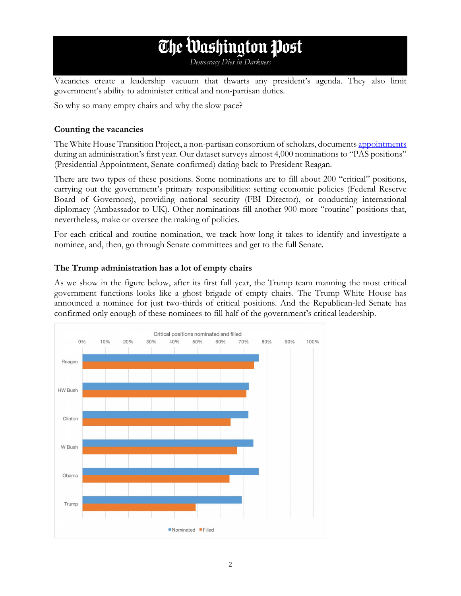# The Washington Post

*Democracy Dies in Darkness*

Vacancies create a leadership vacuum that thwarts any president's agenda. They also limit government's ability to administer critical and non-partisan duties.

So why so many empty chairs and why the slow pace?

#### **Counting the vacancies**

The White House Transition Project, a non-partisan consortium of scholars, documents [appointments](http://whitehousetransitionproject.org/appointments/) during an administration's first year. Our dataset surveys almost 4,000 nominations to "PAS positions" (Presidential Appointment, Senate-confirmed) dating back to President Reagan.

There are two types of these positions. Some nominations are to fill about 200 "critical" positions, carrying out the government's primary responsibilities: setting economic policies (Federal Reserve Board of Governors), providing national security (FBI Director), or conducting international diplomacy (Ambassador to UK). Other nominations fill another 900 more "routine" positions that, nevertheless, make or oversee the making of policies.

For each critical and routine nomination, we track how long it takes to identify and investigate a nominee, and, then, go through Senate committees and get to the full Senate.

### **The Trump administration has a lot of empty chairs**

As we show in the figure below, after its first full year, the Trump team manning the most critical government functions looks like a ghost brigade of empty chairs. The Trump White House has announced a nominee for just two-thirds of critical positions. And the Republican-led Senate has confirmed only enough of these nominees to fill half of the government's critical leadership.

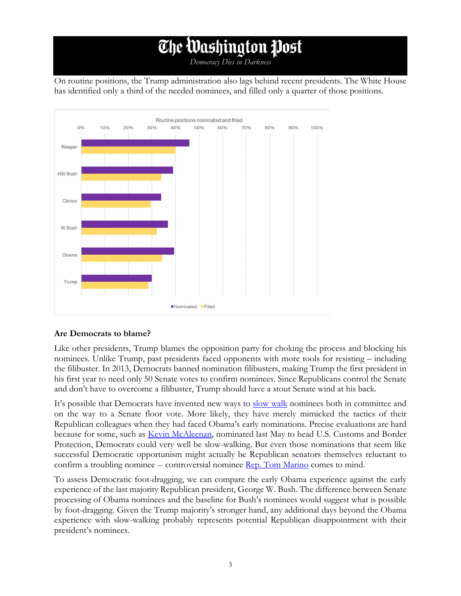# The Washington Post

*Democracy Dies in Darkness*

On routine positions, the Trump administration also lags behind recent presidents. The White House has identified only a third of the needed nominees, and filled only a quarter of those positions.



## **Are Democrats to blame?**

Like other presidents, Trump blames the opposition party for choking the process and blocking his nominees. Unlike Trump, past presidents faced opponents with more tools for resisting – including the filibuster. In 2013, Democrats banned nomination filibusters, making Trump the first president in his first year to need only 50 Senate votes to confirm nominees. Since Republicans control the Senate and don't have to overcome a filibuster, Trump should have a stout Senate wind at his back.

It's possible that Democrats have invented new ways to [slow walk](https://www.nytimes.com/2017/07/17/us/politics/senate-democrats-art-of-delay-trump-nominees.html) nominees both in committee and on the way to a Senate floor vote. More likely, they have merely mimicked the tactics of their Republican colleagues when they had faced Obama's early nominations. Precise evaluations are hard because for some, such as [Kevin McAleenan,](https://www.nbcnews.com/politics/immigration/trump-pick-build-border-wall-delayed-investigations-n813656) nominated last May to head U.S. Customs and Border Protection, Democrats could very well be slow-walking. But even those nominations that seem like successful Democratic opportunism might actually be Republican senators themselves reluctant to confirm a troubling nominee -- controversial nominee [Rep. Tom Marino](http://thehill.com/homenews/administration/355780-trump-drug-czar-nominee-withdraws) comes to mind.

To assess Democratic foot-dragging, we can compare the early Obama experience against the early experience of the last majority Republican president, George W. Bush. The difference between Senate processing of Obama nominees and the baseline for Bush's nominees would suggest what is possible by foot-dragging. Given the Trump majority's stronger hand, any additional days beyond the Obama experience with slow-walking probably represents potential Republican disappointment with their president's nominees.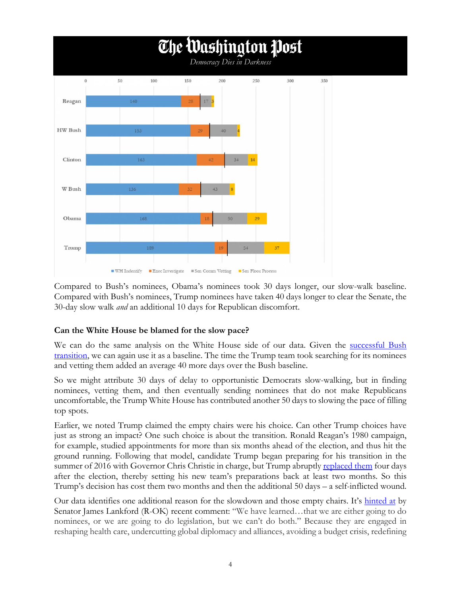

Compared to Bush's nominees, Obama's nominees took 30 days longer, our slow-walk baseline. Compared with Bush's nominees, Trump nominees have taken 40 days longer to clear the Senate, the 30-day slow walk *and* an additional 10 days for Republican discomfort.

## **Can the White House be blamed for the slow pace?**

We can do the same analysis on the White House side of our data. Given the successful Bush [transition,](http://whitehousetransitionproject.org/wp-content/uploads/2016/03/NerveCenter-Ch10-6.pdf) we can again use it as a baseline. The time the Trump team took searching for its nominees and vetting them added an average 40 more days over the Bush baseline.

So we might attribute 30 days of delay to opportunistic Democrats slow-walking, but in finding nominees, vetting them, and then eventually sending nominees that do not make Republicans uncomfortable, the Trump White House has contributed another 50 days to slowing the pace of filling top spots.

Earlier, we noted Trump claimed the empty chairs were his choice. Can other Trump choices have just as strong an impact? One such choice is about the transition. Ronald Reagan's 1980 campaign, for example, studied appointments for more than six months ahead of the election, and thus hit the ground running. Following that model, candidate Trump began preparing for his transition in the summer of 2016 with Governor Chris Christie in charge, but Trump abruptly [replaced them](http://beta.latimes.com/politics/la-na-pol-trump-transition-20161111-story.html) four days after the election, thereby setting his new team's preparations back at least two months. So this Trump's decision has cost them two months and then the additional 50 days – a self-inflicted wound.

Our data identifies one additional reason for the slowdown and those empty chairs. It's [hinted at](http://thehill.com/homenews/senate/366260-senate-gop-seeks-to-change-rules-for-trump-picks) by Senator James Lankford (R-OK) recent comment: "We have learned...that we are either going to do nominees, or we are going to do legislation, but we can't do both." Because they are engaged in reshaping health care, undercutting global diplomacy and alliances, avoiding a budget crisis, redefining